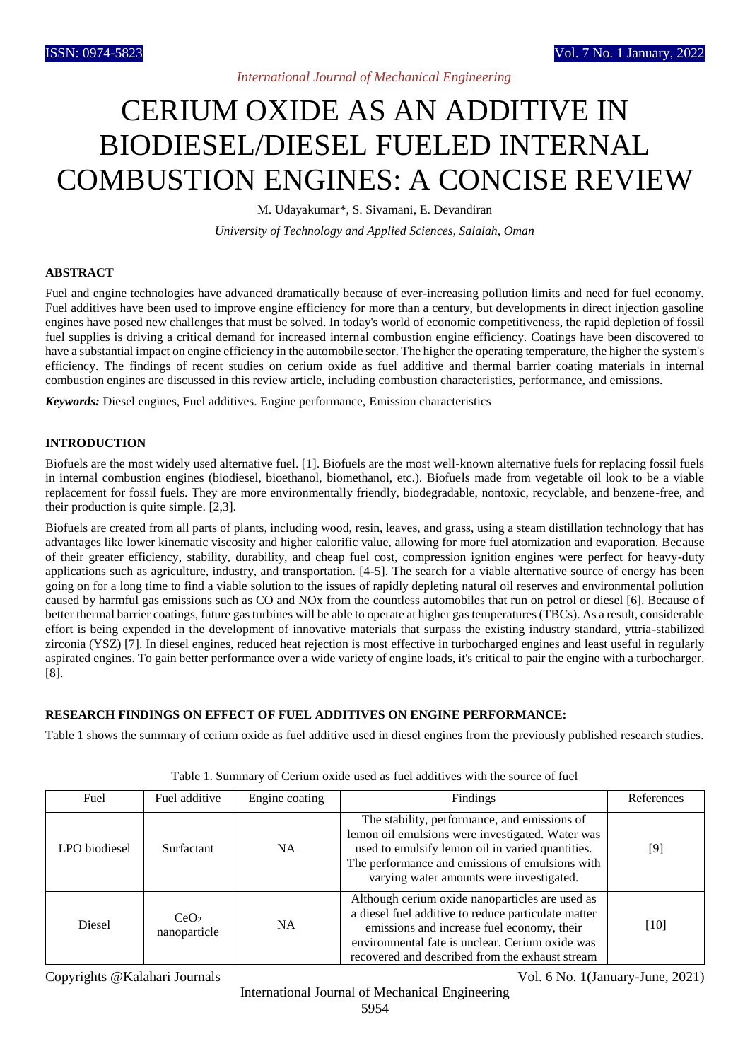## *International Journal of Mechanical Engineering*

# CERIUM OXIDE AS AN ADDITIVE IN BIODIESEL/DIESEL FUELED INTERNAL COMBUSTION ENGINES: A CONCISE REVIEW

M. Udayakumar\*, S. Sivamani, E. Devandiran

*University of Technology and Applied Sciences, Salalah, Oman*

### **ABSTRACT**

Fuel and engine technologies have advanced dramatically because of ever-increasing pollution limits and need for fuel economy. Fuel additives have been used to improve engine efficiency for more than a century, but developments in direct injection gasoline engines have posed new challenges that must be solved. In today's world of economic competitiveness, the rapid depletion of fossil fuel supplies is driving a critical demand for increased internal combustion engine efficiency. Coatings have been discovered to have a substantial impact on engine efficiency in the automobile sector. The higher the operating temperature, the higher the system's efficiency. The findings of recent studies on cerium oxide as fuel additive and thermal barrier coating materials in internal combustion engines are discussed in this review article, including combustion characteristics, performance, and emissions.

*Keywords:* Diesel engines, Fuel additives. Engine performance, Emission characteristics

### **INTRODUCTION**

Biofuels are the most widely used alternative fuel. [1]. Biofuels are the most well-known alternative fuels for replacing fossil fuels in internal combustion engines (biodiesel, bioethanol, biomethanol, etc.). Biofuels made from vegetable oil look to be a viable replacement for fossil fuels. They are more environmentally friendly, biodegradable, nontoxic, recyclable, and benzene-free, and their production is quite simple. [2,3].

Biofuels are created from all parts of plants, including wood, resin, leaves, and grass, using a steam distillation technology that has advantages like lower kinematic viscosity and higher calorific value, allowing for more fuel atomization and evaporation. Because of their greater efficiency, stability, durability, and cheap fuel cost, compression ignition engines were perfect for heavy-duty applications such as agriculture, industry, and transportation. [4-5]. The search for a viable alternative source of energy has been going on for a long time to find a viable solution to the issues of rapidly depleting natural oil reserves and environmental pollution caused by harmful gas emissions such as CO and NOx from the countless automobiles that run on petrol or diesel [6]. Because of better thermal barrier coatings, future gas turbines will be able to operate at higher gas temperatures (TBCs). As a result, considerable effort is being expended in the development of innovative materials that surpass the existing industry standard, yttria-stabilized zirconia (YSZ) [7]. In diesel engines, reduced heat rejection is most effective in turbocharged engines and least useful in regularly aspirated engines. To gain better performance over a wide variety of engine loads, it's critical to pair the engine with a turbocharger. [8].

## **RESEARCH FINDINGS ON EFFECT OF FUEL ADDITIVES ON ENGINE PERFORMANCE:**

Table 1 shows the summary of cerium oxide as fuel additive used in diesel engines from the previously published research studies.

| Fuel          | Fuel additive                    | Engine coating | Findings                                                                                                                                                                                                                                                   | References |
|---------------|----------------------------------|----------------|------------------------------------------------------------------------------------------------------------------------------------------------------------------------------------------------------------------------------------------------------------|------------|
| LPO biodiesel | <b>Surfactant</b>                | NA.            | The stability, performance, and emissions of<br>lemon oil emulsions were investigated. Water was<br>used to emulsify lemon oil in varied quantities.<br>The performance and emissions of emulsions with<br>varying water amounts were investigated.        | [9]        |
| Diesel        | CeO <sub>2</sub><br>nanoparticle | <b>NA</b>      | Although cerium oxide nanoparticles are used as<br>a diesel fuel additive to reduce particulate matter<br>emissions and increase fuel economy, their<br>environmental fate is unclear. Cerium oxide was<br>recovered and described from the exhaust stream | $[10]$     |

Table 1. Summary of Cerium oxide used as fuel additives with the source of fuel

International Journal of Mechanical Engineering 5954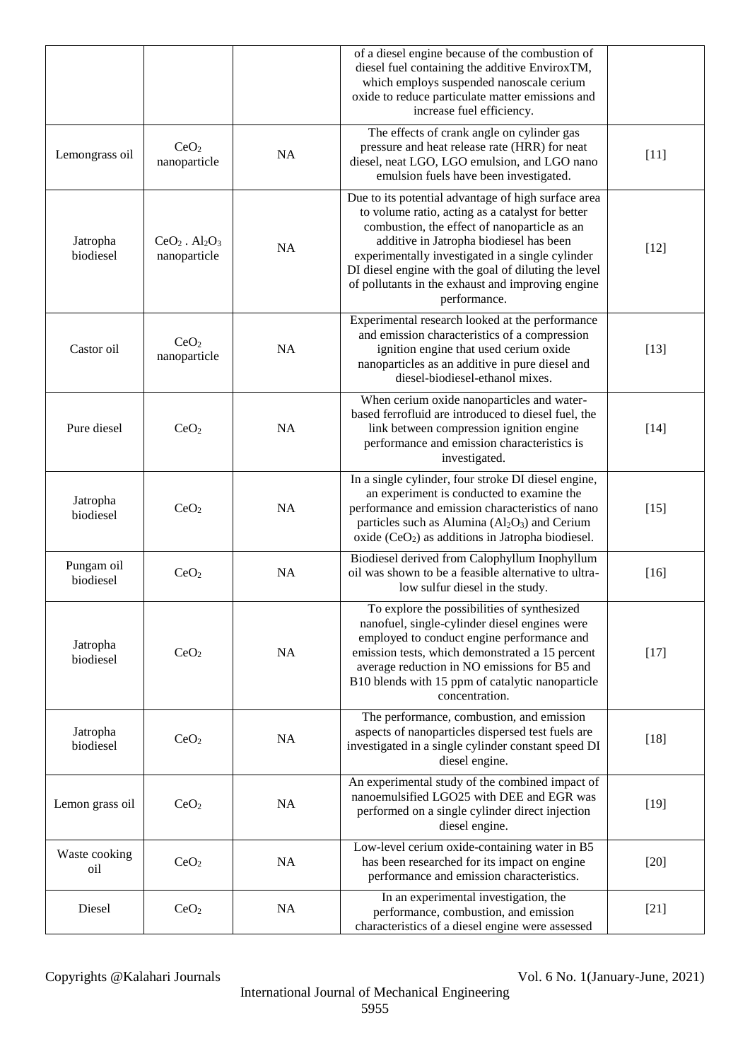|                         |                                  |    | of a diesel engine because of the combustion of<br>diesel fuel containing the additive EnviroxTM,<br>which employs suspended nanoscale cerium<br>oxide to reduce particulate matter emissions and<br>increase fuel efficiency.                                                                                                                                                      |        |
|-------------------------|----------------------------------|----|-------------------------------------------------------------------------------------------------------------------------------------------------------------------------------------------------------------------------------------------------------------------------------------------------------------------------------------------------------------------------------------|--------|
| Lemongrass oil          | CeO <sub>2</sub><br>nanoparticle | NA | The effects of crank angle on cylinder gas<br>pressure and heat release rate (HRR) for neat<br>diesel, neat LGO, LGO emulsion, and LGO nano<br>emulsion fuels have been investigated.                                                                                                                                                                                               | $[11]$ |
| Jatropha<br>biodiesel   | $CeO2$ . $Al2O3$<br>nanoparticle | NA | Due to its potential advantage of high surface area<br>to volume ratio, acting as a catalyst for better<br>combustion, the effect of nanoparticle as an<br>additive in Jatropha biodiesel has been<br>experimentally investigated in a single cylinder<br>DI diesel engine with the goal of diluting the level<br>of pollutants in the exhaust and improving engine<br>performance. | $[12]$ |
| Castor oil              | CeO <sub>2</sub><br>nanoparticle | NA | Experimental research looked at the performance<br>and emission characteristics of a compression<br>ignition engine that used cerium oxide<br>nanoparticles as an additive in pure diesel and<br>diesel-biodiesel-ethanol mixes.                                                                                                                                                    | $[13]$ |
| Pure diesel             | CeO <sub>2</sub>                 | NA | When cerium oxide nanoparticles and water-<br>based ferrofluid are introduced to diesel fuel, the<br>link between compression ignition engine<br>performance and emission characteristics is<br>investigated.                                                                                                                                                                       | $[14]$ |
| Jatropha<br>biodiesel   | CeO <sub>2</sub>                 | NA | In a single cylinder, four stroke DI diesel engine,<br>an experiment is conducted to examine the<br>performance and emission characteristics of nano<br>particles such as Alumina $(Al_2O_3)$ and Cerium<br>oxide $(CeO2)$ as additions in Jatropha biodiesel.                                                                                                                      | $[15]$ |
| Pungam oil<br>biodiesel | CeO <sub>2</sub>                 | NA | Biodiesel derived from Calophyllum Inophyllum<br>oil was shown to be a feasible alternative to ultra-<br>low sulfur diesel in the study.                                                                                                                                                                                                                                            | $[16]$ |
| Jatropha<br>biodiesel   | CeO <sub>2</sub>                 | NA | To explore the possibilities of synthesized<br>nanofuel, single-cylinder diesel engines were<br>employed to conduct engine performance and<br>emission tests, which demonstrated a 15 percent<br>average reduction in NO emissions for B5 and<br>B10 blends with 15 ppm of catalytic nanoparticle<br>concentration.                                                                 | $[17]$ |
| Jatropha<br>biodiesel   | CeO <sub>2</sub>                 | NA | The performance, combustion, and emission<br>aspects of nanoparticles dispersed test fuels are<br>investigated in a single cylinder constant speed DI<br>diesel engine.                                                                                                                                                                                                             | $[18]$ |
| Lemon grass oil         | CeO <sub>2</sub>                 | NA | An experimental study of the combined impact of<br>nanoemulsified LGO25 with DEE and EGR was<br>performed on a single cylinder direct injection<br>diesel engine.                                                                                                                                                                                                                   | $[19]$ |
| Waste cooking<br>oil    | CeO <sub>2</sub>                 | NA | Low-level cerium oxide-containing water in B5<br>has been researched for its impact on engine<br>performance and emission characteristics.                                                                                                                                                                                                                                          | $[20]$ |
| Diesel                  | CeO <sub>2</sub>                 | NA | In an experimental investigation, the<br>performance, combustion, and emission<br>characteristics of a diesel engine were assessed                                                                                                                                                                                                                                                  | $[21]$ |

International Journal of Mechanical Engineering 5955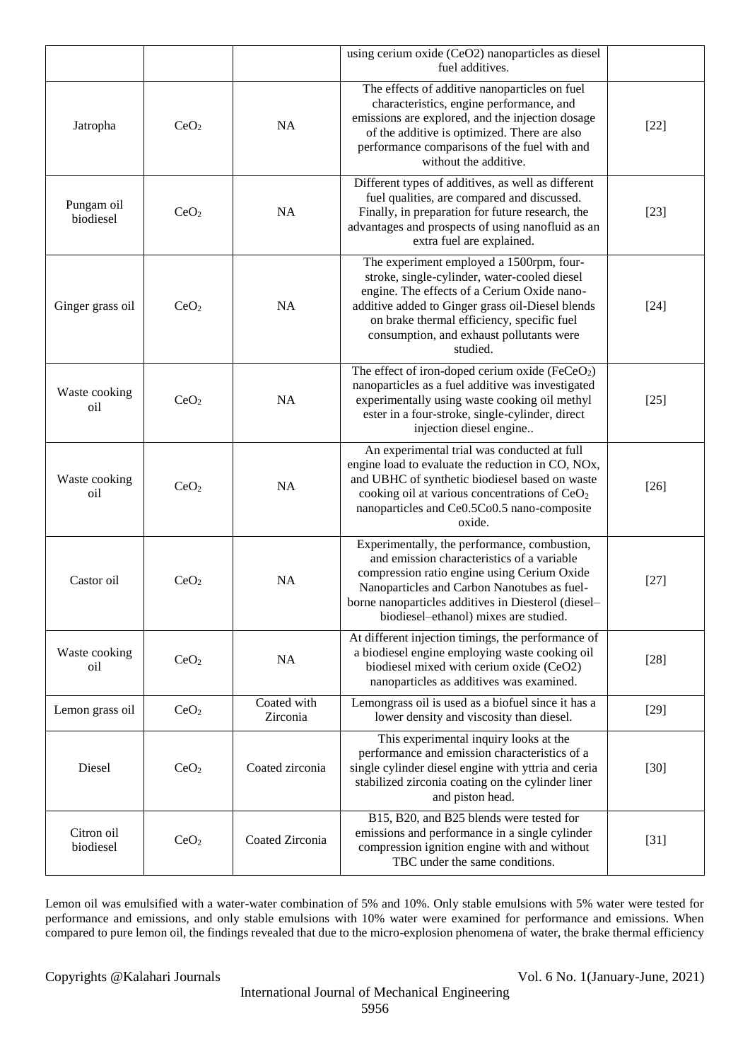|                         |                  |                         | using cerium oxide (CeO2) nanoparticles as diesel<br>fuel additives.                                                                                                                                                                                                                              |        |
|-------------------------|------------------|-------------------------|---------------------------------------------------------------------------------------------------------------------------------------------------------------------------------------------------------------------------------------------------------------------------------------------------|--------|
| Jatropha                | CeO <sub>2</sub> | <b>NA</b>               | The effects of additive nanoparticles on fuel<br>characteristics, engine performance, and<br>emissions are explored, and the injection dosage<br>of the additive is optimized. There are also<br>performance comparisons of the fuel with and<br>without the additive.                            | $[22]$ |
| Pungam oil<br>biodiesel | CeO <sub>2</sub> | NA                      | Different types of additives, as well as different<br>fuel qualities, are compared and discussed.<br>Finally, in preparation for future research, the<br>advantages and prospects of using nanofluid as an<br>extra fuel are explained.                                                           | $[23]$ |
| Ginger grass oil        | CeO <sub>2</sub> | NA                      | The experiment employed a 1500rpm, four-<br>stroke, single-cylinder, water-cooled diesel<br>engine. The effects of a Cerium Oxide nano-<br>additive added to Ginger grass oil-Diesel blends<br>on brake thermal efficiency, specific fuel<br>consumption, and exhaust pollutants were<br>studied. | $[24]$ |
| Waste cooking<br>oil    | CeO <sub>2</sub> | <b>NA</b>               | The effect of iron-doped cerium oxide (FeCeO <sub>2</sub> )<br>nanoparticles as a fuel additive was investigated<br>experimentally using waste cooking oil methyl<br>ester in a four-stroke, single-cylinder, direct<br>injection diesel engine                                                   | $[25]$ |
| Waste cooking<br>oil    | CeO <sub>2</sub> | <b>NA</b>               | An experimental trial was conducted at full<br>engine load to evaluate the reduction in CO, NOx,<br>and UBHC of synthetic biodiesel based on waste<br>cooking oil at various concentrations of CeO <sub>2</sub><br>nanoparticles and Ce0.5Co0.5 nano-composite<br>oxide.                          | $[26]$ |
| Castor oil              | CeO <sub>2</sub> | NA                      | Experimentally, the performance, combustion,<br>and emission characteristics of a variable<br>compression ratio engine using Cerium Oxide<br>Nanoparticles and Carbon Nanotubes as fuel-<br>borne nanoparticles additives in Diesterol (diesel-<br>biodiesel-ethanol) mixes are studied.          | $[27]$ |
| Waste cooking<br>oil    | CeO <sub>2</sub> | NA                      | At different injection timings, the performance of<br>a biodiesel engine employing waste cooking oil<br>biodiesel mixed with cerium oxide (CeO2)<br>nanoparticles as additives was examined.                                                                                                      | $[28]$ |
| Lemon grass oil         | CeO <sub>2</sub> | Coated with<br>Zirconia | Lemongrass oil is used as a biofuel since it has a<br>lower density and viscosity than diesel.                                                                                                                                                                                                    | $[29]$ |
| Diesel                  | CeO <sub>2</sub> | Coated zirconia         | This experimental inquiry looks at the<br>performance and emission characteristics of a<br>single cylinder diesel engine with yttria and ceria<br>stabilized zirconia coating on the cylinder liner<br>and piston head.                                                                           | $[30]$ |
| Citron oil<br>biodiesel | CeO <sub>2</sub> | Coated Zirconia         | B15, B20, and B25 blends were tested for<br>emissions and performance in a single cylinder<br>compression ignition engine with and without<br>TBC under the same conditions.                                                                                                                      | $[31]$ |

Lemon oil was emulsified with a water-water combination of 5% and 10%. Only stable emulsions with 5% water were tested for performance and emissions, and only stable emulsions with 10% water were examined for performance and emissions. When compared to pure lemon oil, the findings revealed that due to the micro-explosion phenomena of water, the brake thermal efficiency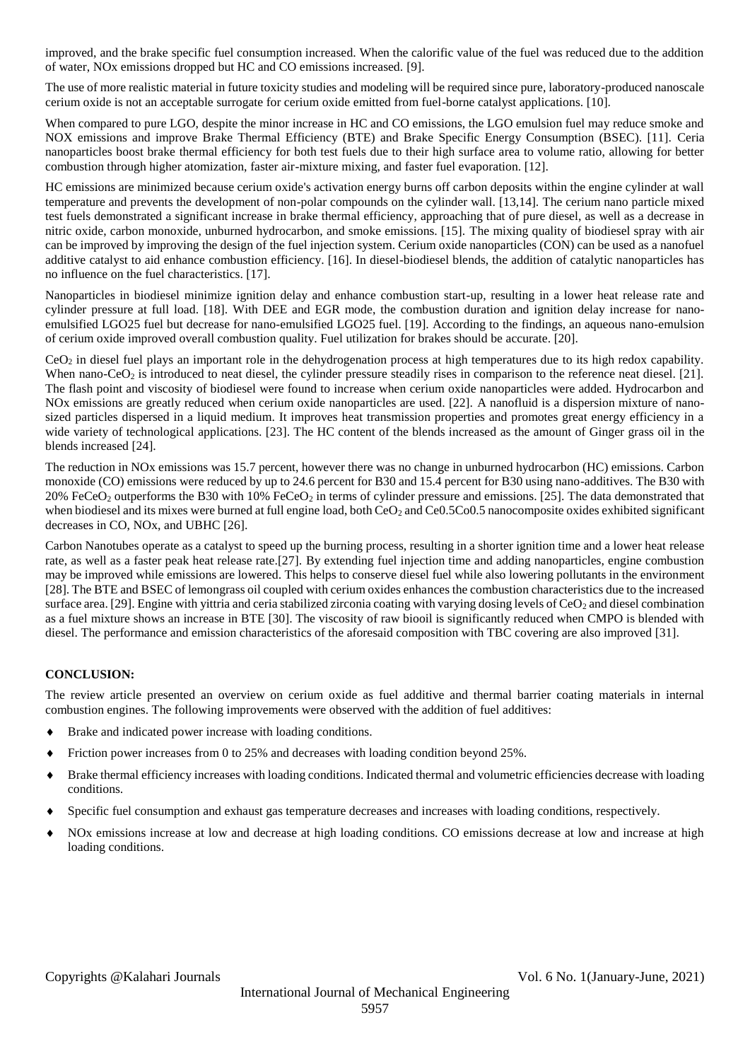improved, and the brake specific fuel consumption increased. When the calorific value of the fuel was reduced due to the addition of water, NOx emissions dropped but HC and CO emissions increased. [9].

The use of more realistic material in future toxicity studies and modeling will be required since pure, laboratory-produced nanoscale cerium oxide is not an acceptable surrogate for cerium oxide emitted from fuel-borne catalyst applications. [10].

When compared to pure LGO, despite the minor increase in HC and CO emissions, the LGO emulsion fuel may reduce smoke and NOX emissions and improve Brake Thermal Efficiency (BTE) and Brake Specific Energy Consumption (BSEC). [11]. Ceria nanoparticles boost brake thermal efficiency for both test fuels due to their high surface area to volume ratio, allowing for better combustion through higher atomization, faster air-mixture mixing, and faster fuel evaporation. [12].

HC emissions are minimized because cerium oxide's activation energy burns off carbon deposits within the engine cylinder at wall temperature and prevents the development of non-polar compounds on the cylinder wall. [13,14]. The cerium nano particle mixed test fuels demonstrated a significant increase in brake thermal efficiency, approaching that of pure diesel, as well as a decrease in nitric oxide, carbon monoxide, unburned hydrocarbon, and smoke emissions. [15]. The mixing quality of biodiesel spray with air can be improved by improving the design of the fuel injection system. Cerium oxide nanoparticles (CON) can be used as a nanofuel additive catalyst to aid enhance combustion efficiency. [16]. In diesel-biodiesel blends, the addition of catalytic nanoparticles has no influence on the fuel characteristics. [17].

Nanoparticles in biodiesel minimize ignition delay and enhance combustion start-up, resulting in a lower heat release rate and cylinder pressure at full load. [18]. With DEE and EGR mode, the combustion duration and ignition delay increase for nanoemulsified LGO25 fuel but decrease for nano-emulsified LGO25 fuel. [19]. According to the findings, an aqueous nano-emulsion of cerium oxide improved overall combustion quality. Fuel utilization for brakes should be accurate. [20].

CeO<sup>2</sup> in diesel fuel plays an important role in the dehydrogenation process at high temperatures due to its high redox capability. When nano-CeO<sub>2</sub> is introduced to neat diesel, the cylinder pressure steadily rises in comparison to the reference neat diesel. [21]. The flash point and viscosity of biodiesel were found to increase when cerium oxide nanoparticles were added. Hydrocarbon and NOx emissions are greatly reduced when cerium oxide nanoparticles are used. [22]. A nanofluid is a dispersion mixture of nanosized particles dispersed in a liquid medium. It improves heat transmission properties and promotes great energy efficiency in a wide variety of technological applications. [23]. The HC content of the blends increased as the amount of Ginger grass oil in the blends increased [24].

The reduction in NOx emissions was 15.7 percent, however there was no change in unburned hydrocarbon (HC) emissions. Carbon monoxide (CO) emissions were reduced by up to 24.6 percent for B30 and 15.4 percent for B30 using nano-additives. The B30 with 20% FeCeO<sub>2</sub> outperforms the B30 with 10% FeCeO<sub>2</sub> in terms of cylinder pressure and emissions. [25]. The data demonstrated that when biodiesel and its mixes were burned at full engine load, both CeO<sub>2</sub> and Ce0.5Co0.5 nanocomposite oxides exhibited significant decreases in CO, NOx, and UBHC [26].

Carbon Nanotubes operate as a catalyst to speed up the burning process, resulting in a shorter ignition time and a lower heat release rate, as well as a faster peak heat release rate.[27]. By extending fuel injection time and adding nanoparticles, engine combustion may be improved while emissions are lowered. This helps to conserve diesel fuel while also lowering pollutants in the environment [28]. The BTE and BSEC of lemongrass oil coupled with cerium oxides enhances the combustion characteristics due to the increased surface area. [29]. Engine with yittria and ceria stabilized zirconia coating with varying dosing levels of  $CeO<sub>2</sub>$  and diesel combination as a fuel mixture shows an increase in BTE [30]. The viscosity of raw biooil is significantly reduced when CMPO is blended with diesel. The performance and emission characteristics of the aforesaid composition with TBC covering are also improved [31].

#### **CONCLUSION:**

The review article presented an overview on cerium oxide as fuel additive and thermal barrier coating materials in internal combustion engines. The following improvements were observed with the addition of fuel additives:

- Brake and indicated power increase with loading conditions.
- Friction power increases from 0 to 25% and decreases with loading condition beyond 25%.
- Brake thermal efficiency increases with loading conditions. Indicated thermal and volumetric efficiencies decrease with loading conditions.
- Specific fuel consumption and exhaust gas temperature decreases and increases with loading conditions, respectively.
- NOx emissions increase at low and decrease at high loading conditions. CO emissions decrease at low and increase at high loading conditions.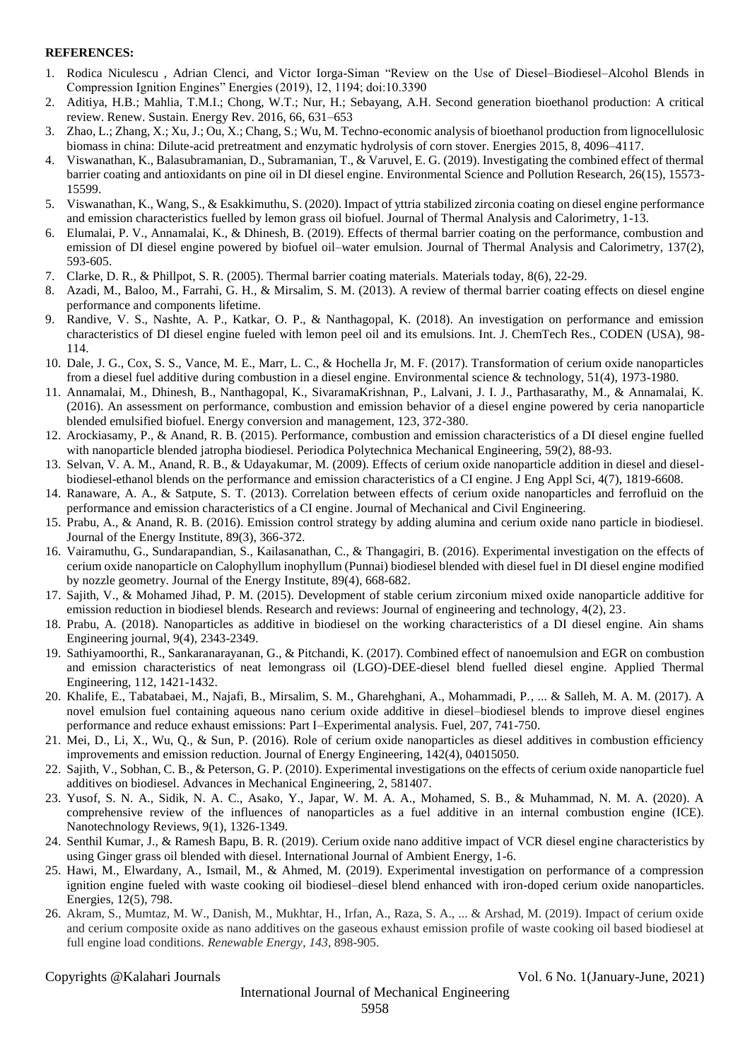#### **REFERENCES:**

- 1. Rodica Niculescu , Adrian Clenci, and Victor Iorga-Siman "Review on the Use of Diesel–Biodiesel–Alcohol Blends in Compression Ignition Engines" Energies (2019), 12, 1194; doi:10.3390
- 2. Aditiya, H.B.; Mahlia, T.M.I.; Chong, W.T.; Nur, H.; Sebayang, A.H. Second generation bioethanol production: A critical review. Renew. Sustain. Energy Rev. 2016, 66, 631–653
- 3. Zhao, L.; Zhang, X.; Xu, J.; Ou, X.; Chang, S.; Wu, M. Techno-economic analysis of bioethanol production from lignocellulosic biomass in china: Dilute-acid pretreatment and enzymatic hydrolysis of corn stover. Energies 2015, 8, 4096–4117.
- 4. Viswanathan, K., Balasubramanian, D., Subramanian, T., & Varuvel, E. G. (2019). Investigating the combined effect of thermal barrier coating and antioxidants on pine oil in DI diesel engine. Environmental Science and Pollution Research, 26(15), 15573- 15599.
- 5. Viswanathan, K., Wang, S., & Esakkimuthu, S. (2020). Impact of yttria stabilized zirconia coating on diesel engine performance and emission characteristics fuelled by lemon grass oil biofuel. Journal of Thermal Analysis and Calorimetry, 1-13.
- 6. Elumalai, P. V., Annamalai, K., & Dhinesh, B. (2019). Effects of thermal barrier coating on the performance, combustion and emission of DI diesel engine powered by biofuel oil–water emulsion. Journal of Thermal Analysis and Calorimetry, 137(2), 593-605.
- 7. Clarke, D. R., & Phillpot, S. R. (2005). Thermal barrier coating materials. Materials today, 8(6), 22-29.
- 8. Azadi, M., Baloo, M., Farrahi, G. H., & Mirsalim, S. M. (2013). A review of thermal barrier coating effects on diesel engine performance and components lifetime.
- 9. Randive, V. S., Nashte, A. P., Katkar, O. P., & Nanthagopal, K. (2018). An investigation on performance and emission characteristics of DI diesel engine fueled with lemon peel oil and its emulsions. Int. J. ChemTech Res., CODEN (USA), 98- 114.
- 10. Dale, J. G., Cox, S. S., Vance, M. E., Marr, L. C., & Hochella Jr, M. F. (2017). Transformation of cerium oxide nanoparticles from a diesel fuel additive during combustion in a diesel engine. Environmental science & technology, 51(4), 1973-1980.
- 11. Annamalai, M., Dhinesh, B., Nanthagopal, K., SivaramaKrishnan, P., Lalvani, J. I. J., Parthasarathy, M., & Annamalai, K. (2016). An assessment on performance, combustion and emission behavior of a diesel engine powered by ceria nanoparticle blended emulsified biofuel. Energy conversion and management, 123, 372-380.
- 12. Arockiasamy, P., & Anand, R. B. (2015). Performance, combustion and emission characteristics of a DI diesel engine fuelled with nanoparticle blended jatropha biodiesel. Periodica Polytechnica Mechanical Engineering, 59(2), 88-93.
- 13. Selvan, V. A. M., Anand, R. B., & Udayakumar, M. (2009). Effects of cerium oxide nanoparticle addition in diesel and dieselbiodiesel-ethanol blends on the performance and emission characteristics of a CI engine. J Eng Appl Sci, 4(7), 1819-6608.
- 14. Ranaware, A. A., & Satpute, S. T. (2013). Correlation between effects of cerium oxide nanoparticles and ferrofluid on the performance and emission characteristics of a CI engine. Journal of Mechanical and Civil Engineering.
- 15. Prabu, A., & Anand, R. B. (2016). Emission control strategy by adding alumina and cerium oxide nano particle in biodiesel. Journal of the Energy Institute, 89(3), 366-372.
- 16. Vairamuthu, G., Sundarapandian, S., Kailasanathan, C., & Thangagiri, B. (2016). Experimental investigation on the effects of cerium oxide nanoparticle on Calophyllum inophyllum (Punnai) biodiesel blended with diesel fuel in DI diesel engine modified by nozzle geometry. Journal of the Energy Institute, 89(4), 668-682.
- 17. Sajith, V., & Mohamed Jihad, P. M. (2015). Development of stable cerium zirconium mixed oxide nanoparticle additive for emission reduction in biodiesel blends. Research and reviews: Journal of engineering and technology, 4(2), 23.
- 18. Prabu, A. (2018). Nanoparticles as additive in biodiesel on the working characteristics of a DI diesel engine. Ain shams Engineering journal, 9(4), 2343-2349.
- 19. Sathiyamoorthi, R., Sankaranarayanan, G., & Pitchandi, K. (2017). Combined effect of nanoemulsion and EGR on combustion and emission characteristics of neat lemongrass oil (LGO)-DEE-diesel blend fuelled diesel engine. Applied Thermal Engineering, 112, 1421-1432.
- 20. Khalife, E., Tabatabaei, M., Najafi, B., Mirsalim, S. M., Gharehghani, A., Mohammadi, P., ... & Salleh, M. A. M. (2017). A novel emulsion fuel containing aqueous nano cerium oxide additive in diesel–biodiesel blends to improve diesel engines performance and reduce exhaust emissions: Part I–Experimental analysis. Fuel, 207, 741-750.
- 21. Mei, D., Li, X., Wu, Q., & Sun, P. (2016). Role of cerium oxide nanoparticles as diesel additives in combustion efficiency improvements and emission reduction. Journal of Energy Engineering, 142(4), 04015050.
- 22. Sajith, V., Sobhan, C. B., & Peterson, G. P. (2010). Experimental investigations on the effects of cerium oxide nanoparticle fuel additives on biodiesel. Advances in Mechanical Engineering, 2, 581407.
- 23. Yusof, S. N. A., Sidik, N. A. C., Asako, Y., Japar, W. M. A. A., Mohamed, S. B., & Muhammad, N. M. A. (2020). A comprehensive review of the influences of nanoparticles as a fuel additive in an internal combustion engine (ICE). Nanotechnology Reviews, 9(1), 1326-1349.
- 24. Senthil Kumar, J., & Ramesh Bapu, B. R. (2019). Cerium oxide nano additive impact of VCR diesel engine characteristics by using Ginger grass oil blended with diesel. International Journal of Ambient Energy, 1-6.
- 25. Hawi, M., Elwardany, A., Ismail, M., & Ahmed, M. (2019). Experimental investigation on performance of a compression ignition engine fueled with waste cooking oil biodiesel–diesel blend enhanced with iron-doped cerium oxide nanoparticles. Energies, 12(5), 798.
- 26. Akram, S., Mumtaz, M. W., Danish, M., Mukhtar, H., Irfan, A., Raza, S. A., ... & Arshad, M. (2019). Impact of cerium oxide and cerium composite oxide as nano additives on the gaseous exhaust emission profile of waste cooking oil based biodiesel at full engine load conditions. *Renewable Energy*, *143*, 898-905.